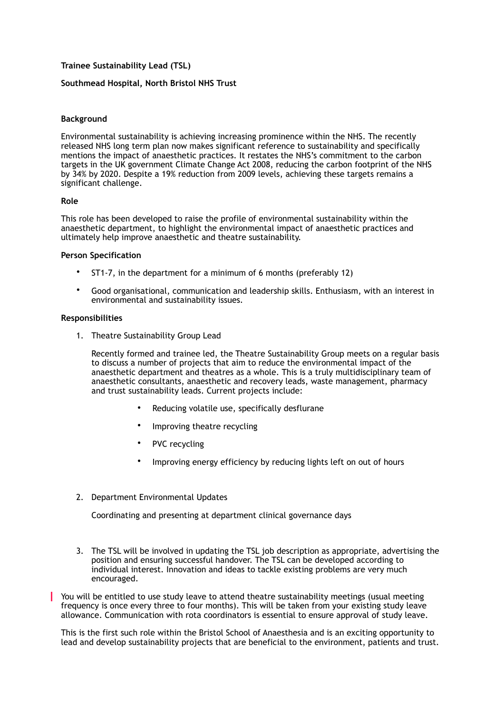# **Trainee Sustainability Lead (TSL)**

## **Southmead Hospital, North Bristol NHS Trust**

### **Background**

Environmental sustainability is achieving increasing prominence within the NHS. The recently released NHS long term plan now makes significant reference to sustainability and specifically mentions the impact of anaesthetic practices. It restates the NHS's commitment to the carbon targets in the UK government Climate Change Act 2008, reducing the carbon footprint of the NHS by 34% by 2020. Despite a 19% reduction from 2009 levels, achieving these targets remains a significant challenge.

### **Role**

This role has been developed to raise the profile of environmental sustainability within the anaesthetic department, to highlight the environmental impact of anaesthetic practices and ultimately help improve anaesthetic and theatre sustainability.

### **Person Specification**

- ST1-7, in the department for a minimum of 6 months (preferably 12)
- Good organisational, communication and leadership skills. Enthusiasm, with an interest in environmental and sustainability issues.

### **Responsibilities**

1. Theatre Sustainability Group Lead

Recently formed and trainee led, the Theatre Sustainability Group meets on a regular basis to discuss a number of projects that aim to reduce the environmental impact of the anaesthetic department and theatres as a whole. This is a truly multidisciplinary team of anaesthetic consultants, anaesthetic and recovery leads, waste management, pharmacy and trust sustainability leads. Current projects include:

- Reducing volatile use, specifically desflurane
- Improving theatre recycling
- PVC recycling
- Improving energy efficiency by reducing lights left on out of hours
- 2. Department Environmental Updates

Coordinating and presenting at department clinical governance days

3. The TSL will be involved in updating the TSL job description as appropriate, advertising the position and ensuring successful handover. The TSL can be developed according to individual interest. Innovation and ideas to tackle existing problems are very much encouraged.

You will be entitled to use study leave to attend theatre sustainability meetings (usual meeting frequency is once every three to four months). This will be taken from your existing study leave allowance. Communication with rota coordinators is essential to ensure approval of study leave.

This is the first such role within the Bristol School of Anaesthesia and is an exciting opportunity to lead and develop sustainability projects that are beneficial to the environment, patients and trust.